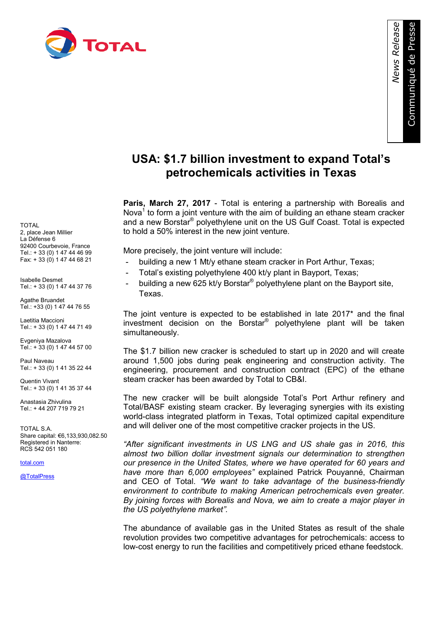

*News Release* 

## **USA: \$1.7 billion investment to expand Total's petrochemicals activities in Texas**

**Paris, March 27, 2017** - Total is entering a partnership with Borealis and Nova<sup>1</sup> to form a joint venture with the aim of building an ethane steam cracker and a new Borstar® polyethylene unit on the US Gulf Coast. Total is expected to hold a 50% interest in the new joint venture.

More precisely, the joint venture will include:

- building a new 1 Mt/y ethane steam cracker in Port Arthur, Texas;
- Total's existing polyethylene 400 kt/y plant in Bayport, Texas;
- building a new 625 kt/y Borstar<sup>®</sup> polyethylene plant on the Bayport site, Texas.

The joint venture is expected to be established in late 2017\* and the final investment decision on the Borstar® polyethylene plant will be taken simultaneously.

The \$1.7 billion new cracker is scheduled to start up in 2020 and will create around 1,500 jobs during peak engineering and construction activity. The engineering, procurement and construction contract (EPC) of the ethane steam cracker has been awarded by Total to CB&I.

The new cracker will be built alongside Total's Port Arthur refinery and Total/BASF existing steam cracker. By leveraging synergies with its existing world-class integrated platform in Texas, Total optimized capital expenditure and will deliver one of the most competitive cracker projects in the US.

*"After significant investments in US LNG and US shale gas in 2016, this almost two billion dollar investment signals our determination to strengthen our presence in the United States, where we have operated for 60 years and have more than 6,000 employees"* explained Patrick Pouyanné, Chairman and CEO of Total. *"We want to take advantage of the business-friendly environment to contribute to making American petrochemicals even greater. By joining forces with Borealis and Nova, we aim to create a major player in the US polyethylene market".*

The abundance of available gas in the United States as result of the shale revolution provides two competitive advantages for petrochemicals: access to low-cost energy to run the facilities and competitively priced ethane feedstock.

TOTAL 2, place Jean Millier La Défense 6 92400 Courbevoie, France Tel.: + 33 (0) 1 47 44 46 99 Fax: + 33 (0) 1 47 44 68 21

Isabelle Desmet Tel.: + 33 (0) 1 47 44 37 76

Agathe Bruandet Tel.: +33 (0) 1 47 44 76 55

Laetitia Maccioni Tel.: + 33 (0) 1 47 44 71 49

Evgeniya Mazalova Tel.: + 33 (0) 1 47 44 57 00

Paul Naveau Tel.: + 33 (0) 1 41 35 22 44

Quentin Vivant Tel.: + 33 (0) 1 41 35 37 44

Anastasia Zhivulina  $Tel + 44 207 719 79 21$ 

TOTAL S.A. Share capital: €6,133,930,082.50 Registered in Nanterre: RCS 542 051 180

[total.com](http://www.total.com/)

[@TotalPress](https://twitter.com/TotalPress)